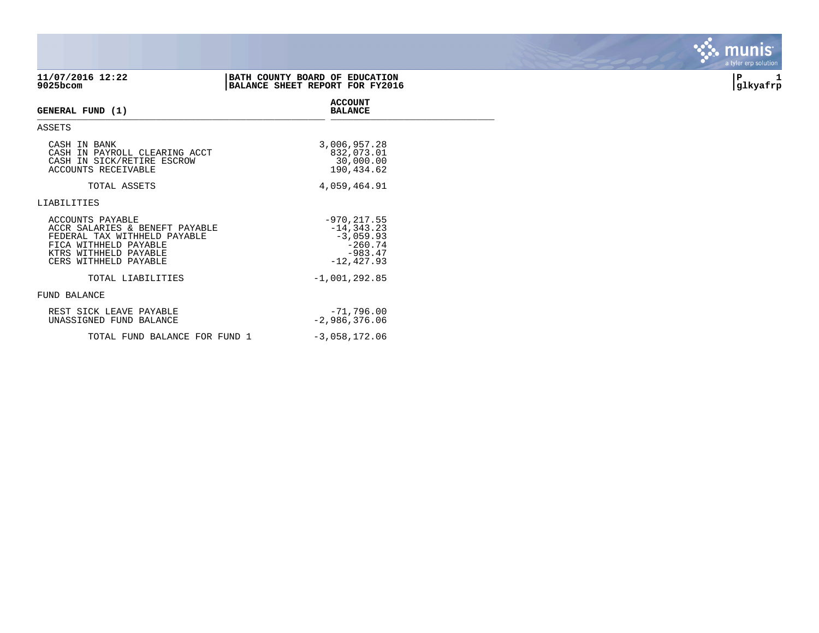| 11/07/2016 12:22<br>$9025$ bcom                                                                                                                               | BATH COUNTY BOARD OF EDUCATION<br>BALANCE SHEET REPORT FOR FY2016 |                                                                                           | l P<br>1<br>glkyafrp |
|---------------------------------------------------------------------------------------------------------------------------------------------------------------|-------------------------------------------------------------------|-------------------------------------------------------------------------------------------|----------------------|
| GENERAL FUND (1)                                                                                                                                              |                                                                   | <b>ACCOUNT</b><br><b>BALANCE</b>                                                          |                      |
| ASSETS                                                                                                                                                        |                                                                   |                                                                                           |                      |
| CASH IN BANK<br>CASH IN PAYROLL CLEARING ACCT<br>CASH IN SICK/RETIRE ESCROW<br>ACCOUNTS RECEIVABLE                                                            |                                                                   | 3,006,957.28<br>832,073.01<br>30,000.00<br>190,434.62                                     |                      |
| TOTAL ASSETS                                                                                                                                                  |                                                                   | 4,059,464.91                                                                              |                      |
| LIABILITIES                                                                                                                                                   |                                                                   |                                                                                           |                      |
| ACCOUNTS PAYABLE<br>ACCR SALARIES & BENEFT PAYABLE<br>FEDERAL TAX WITHHELD PAYABLE<br>FICA WITHHELD PAYABLE<br>KTRS WITHHELD PAYABLE<br>CERS WITHHELD PAYABLE |                                                                   | $-970, 217.55$<br>$-14, 343.23$<br>$-3,059.93$<br>$-260.74$<br>$-983.47$<br>$-12, 427.93$ |                      |
| TOTAL LIABILITIES                                                                                                                                             |                                                                   | $-1,001,292.85$                                                                           |                      |
| FUND BALANCE                                                                                                                                                  |                                                                   |                                                                                           |                      |
| REST SICK LEAVE PAYABLE<br>UNASSIGNED FUND BALANCE                                                                                                            |                                                                   | $-71,796.00$<br>$-2,986,376.06$                                                           |                      |
| TOTAL FUND BALANCE FOR FUND 1                                                                                                                                 |                                                                   | $-3,058,172.06$                                                                           |                      |

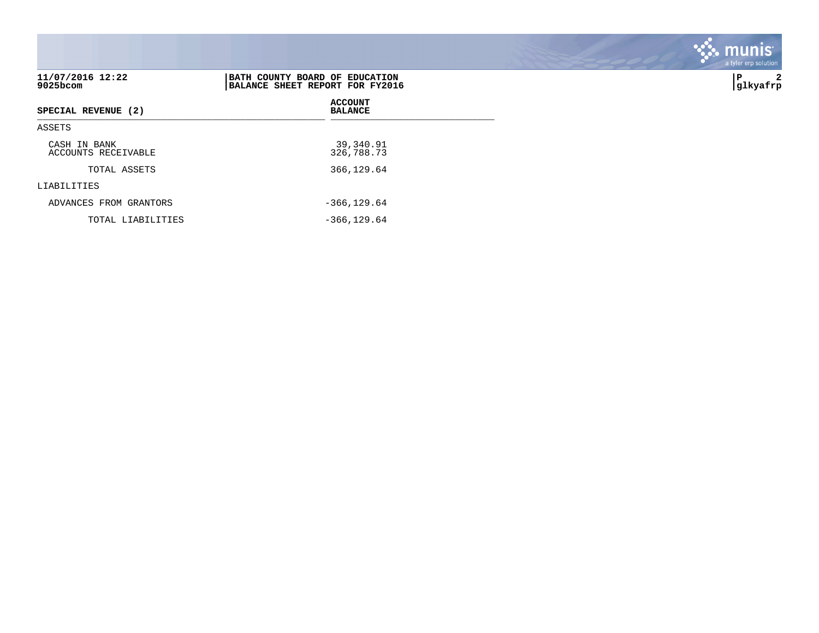|                                     |                                                                   | . munis <sup>.</sup><br>a tyler erp solution |
|-------------------------------------|-------------------------------------------------------------------|----------------------------------------------|
| 11/07/2016 12:22<br>$9025$ bcom     | BATH COUNTY BOARD OF EDUCATION<br>BALANCE SHEET REPORT FOR FY2016 | IP.<br>2<br>glkyafrp                         |
| SPECIAL REVENUE (2)                 | <b>ACCOUNT</b><br><b>BALANCE</b>                                  |                                              |
| ASSETS                              |                                                                   |                                              |
| CASH IN BANK<br>ACCOUNTS RECEIVABLE | 39,340.91<br>326,788.73                                           |                                              |
| TOTAL ASSETS                        | 366,129.64                                                        |                                              |
| LIABILITIES                         |                                                                   |                                              |
| ADVANCES FROM GRANTORS              | $-366, 129.64$                                                    |                                              |

 $\mathcal{L}$ 

TOTAL LIABILITIES -366,129.64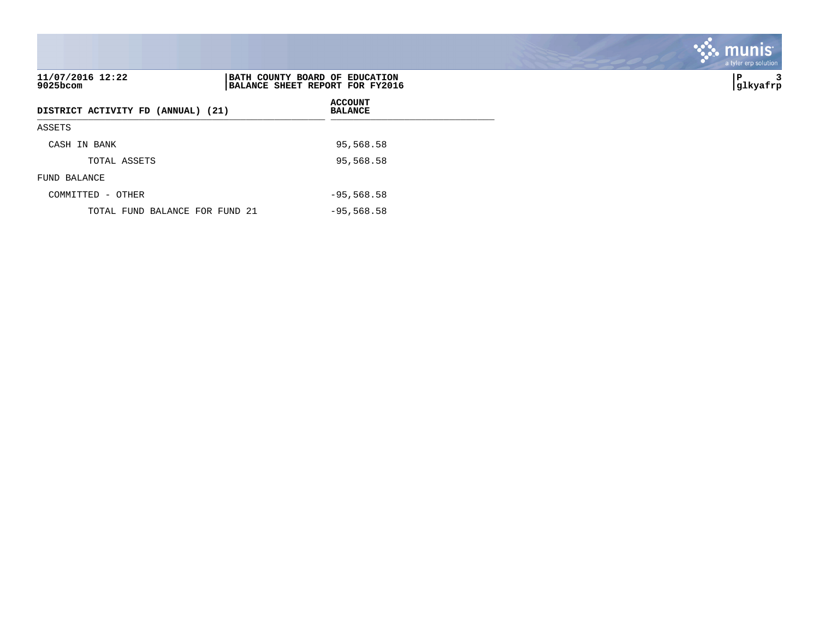|                                    |                                                                   | a tyler erp solution |
|------------------------------------|-------------------------------------------------------------------|----------------------|
| 11/07/2016 12:22<br>9025bcom       | BATH COUNTY BOARD OF EDUCATION<br>BALANCE SHEET REPORT FOR FY2016 | lР<br>3<br> glkyafrp |
| DISTRICT ACTIVITY FD (ANNUAL) (21) | <b>ACCOUNT</b><br><b>BALANCE</b>                                  |                      |
| ASSETS                             |                                                                   |                      |
| CASH IN BANK                       | 95,568.58                                                         |                      |
| TOTAL ASSETS                       | 95,568.58                                                         |                      |
| FUND BALANCE                       |                                                                   |                      |
| COMMITTED - OTHER                  | $-95,568.58$                                                      |                      |
| TOTAL FUND BALANCE FOR FUND 21     | $-95,568.58$                                                      |                      |

**SASE MUNIS**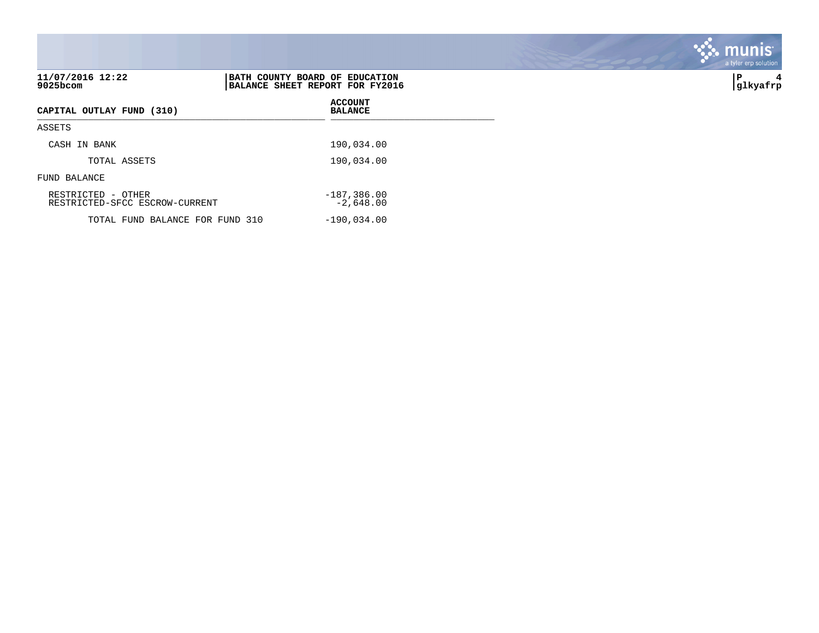| 11/07/2016 12:22<br>$9025$ bcom                      | BATH COUNTY BOARD OF EDUCATION<br>BALANCE SHEET REPORT FOR FY2016 | ∣P<br>4<br> glkyafrp |
|------------------------------------------------------|-------------------------------------------------------------------|----------------------|
| CAPITAL OUTLAY FUND (310)                            | <b>ACCOUNT</b><br><b>BALANCE</b>                                  |                      |
| ASSETS                                               |                                                                   |                      |
| CASH IN BANK                                         | 190,034.00                                                        |                      |
| TOTAL ASSETS                                         | 190,034.00                                                        |                      |
| FUND BALANCE                                         |                                                                   |                      |
| RESTRICTED - OTHER<br>RESTRICTED-SFCC ESCROW-CURRENT | $-187,386.00$<br>$-2,648.00$                                      |                      |
| TOTAL FUND BALANCE FOR FUND 310                      | $-190,034.00$                                                     |                      |

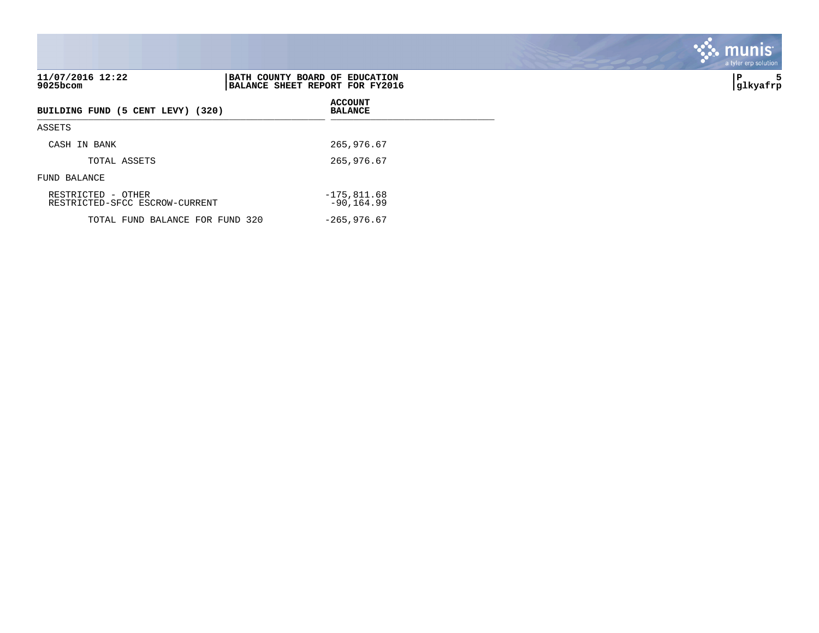| 11/07/2016 12:22<br>9025bcom                         | BATH COUNTY BOARD OF EDUCATION<br>BALANCE SHEET REPORT FOR FY2016 | ∣P<br>5<br> glkyafrp |
|------------------------------------------------------|-------------------------------------------------------------------|----------------------|
| BUILDING FUND (5 CENT LEVY) (320)                    | <b>ACCOUNT</b><br><b>BALANCE</b>                                  |                      |
| ASSETS                                               |                                                                   |                      |
| CASH IN BANK                                         | 265,976.67                                                        |                      |
| TOTAL ASSETS                                         | 265,976.67                                                        |                      |
| FUND BALANCE                                         |                                                                   |                      |
| RESTRICTED - OTHER<br>RESTRICTED-SFCC ESCROW-CURRENT | $-175,811.68$<br>$-90, 164.99$                                    |                      |
| TOTAL FUND BALANCE FOR FUND 320                      | $-265,976.67$                                                     |                      |

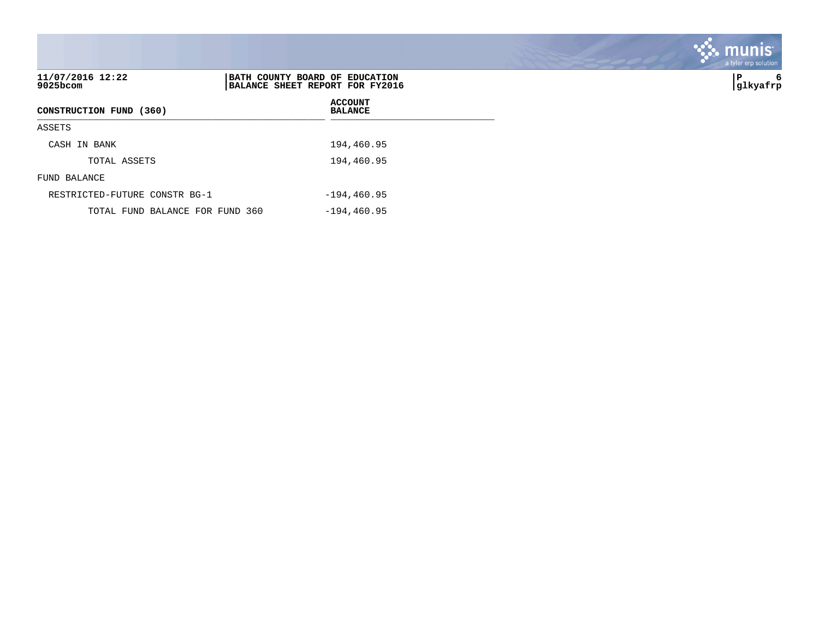|                                 |                                                                   | munis'<br>a tyler erp solution |
|---------------------------------|-------------------------------------------------------------------|--------------------------------|
| 11/07/2016 12:22<br>9025bcom    | BATH COUNTY BOARD OF EDUCATION<br>BALANCE SHEET REPORT FOR FY2016 | P<br>6<br>glkyafrp             |
| CONSTRUCTION FUND (360)         | <b>ACCOUNT</b><br><b>BALANCE</b>                                  |                                |
| ASSETS                          |                                                                   |                                |
| CASH IN BANK                    | 194,460.95                                                        |                                |
| TOTAL ASSETS                    | 194,460.95                                                        |                                |
| FUND BALANCE                    |                                                                   |                                |
| RESTRICTED-FUTURE CONSTR BG-1   | $-194, 460.95$                                                    |                                |
| TOTAL FUND BALANCE FOR FUND 360 | $-194, 460.95$                                                    |                                |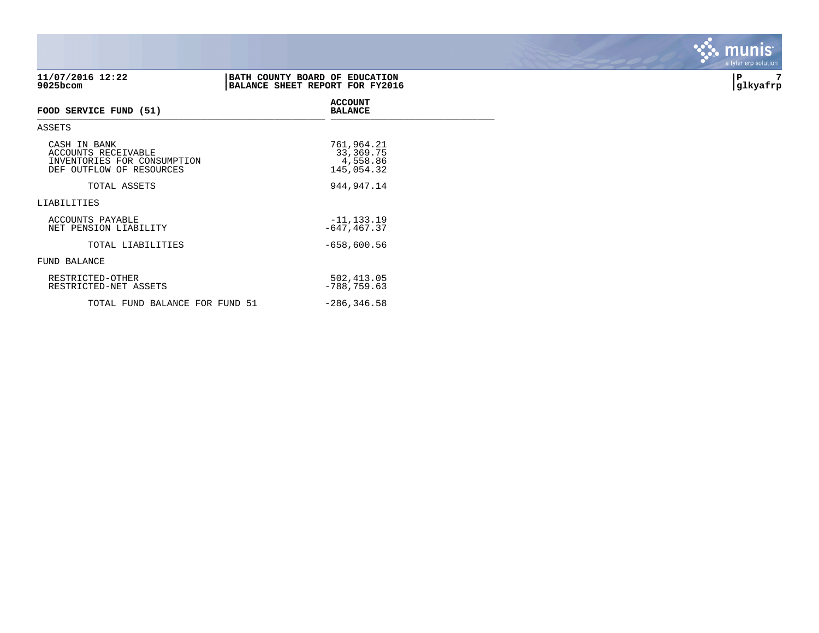| 11/07/2016 12:22<br>9025bcom                                                                   | BATH COUNTY BOARD OF EDUCATION<br>BALANCE SHEET REPORT FOR FY2016 | 7<br>P<br> glkyafrp |
|------------------------------------------------------------------------------------------------|-------------------------------------------------------------------|---------------------|
| FOOD SERVICE FUND (51)                                                                         | <b>ACCOUNT</b><br><b>BALANCE</b>                                  |                     |
| ASSETS                                                                                         |                                                                   |                     |
| CASH IN BANK<br>ACCOUNTS RECEIVABLE<br>INVENTORIES FOR CONSUMPTION<br>DEF OUTFLOW OF RESOURCES | 761,964.21<br>33,369.75<br>4,558.86<br>145,054.32                 |                     |
| TOTAL ASSETS                                                                                   | 944, 947. 14                                                      |                     |
| LIABILITIES                                                                                    |                                                                   |                     |
| ACCOUNTS PAYABLE<br>NET PENSION LIABILITY                                                      | $-11, 133.19$<br>$-647, 467.37$                                   |                     |
| TOTAL LIABILITIES                                                                              | $-658,600.56$                                                     |                     |
| FUND BALANCE                                                                                   |                                                                   |                     |
| RESTRICTED-OTHER<br>RESTRICTED-NET ASSETS                                                      | 502,413.05<br>$-788, 759.63$                                      |                     |
| TOTAL FUND BALANCE FOR FUND 51                                                                 | $-286, 346.58$                                                    |                     |

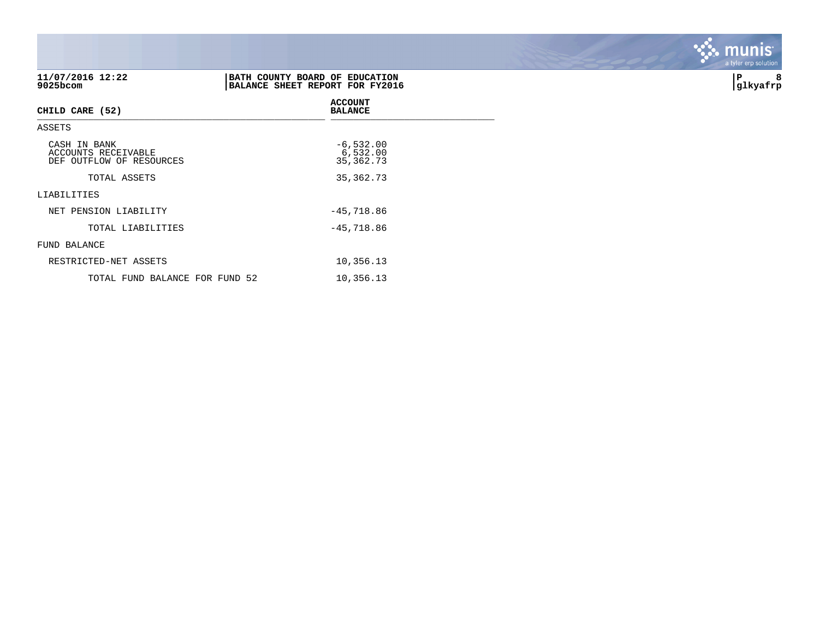| 11/07/2016 12:22<br>9025bcom                                           | BATH COUNTY BOARD OF EDUCATION<br>BALANCE SHEET REPORT FOR FY2016 | 8<br>P<br> glkyafrp |
|------------------------------------------------------------------------|-------------------------------------------------------------------|---------------------|
| CHILD CARE (52)                                                        | <b>ACCOUNT</b><br><b>BALANCE</b>                                  |                     |
| ASSETS                                                                 |                                                                   |                     |
| CASH IN BANK<br><b>ACCOUNTS RECEIVABLE</b><br>DEF OUTFLOW OF RESOURCES | $-6,532.00$<br>6,532.00<br>35, 362. 73                            |                     |
| TOTAL ASSETS                                                           | 35, 362. 73                                                       |                     |
| LIABILITIES                                                            |                                                                   |                     |
| NET PENSION LIABILITY                                                  | $-45,718.86$                                                      |                     |
| TOTAL LIABILITIES                                                      | $-45,718.86$                                                      |                     |
| FUND BALANCE                                                           |                                                                   |                     |
| RESTRICTED-NET ASSETS                                                  | 10,356.13                                                         |                     |
| TOTAL FUND BALANCE FOR FUND 52                                         | 10,356.13                                                         |                     |

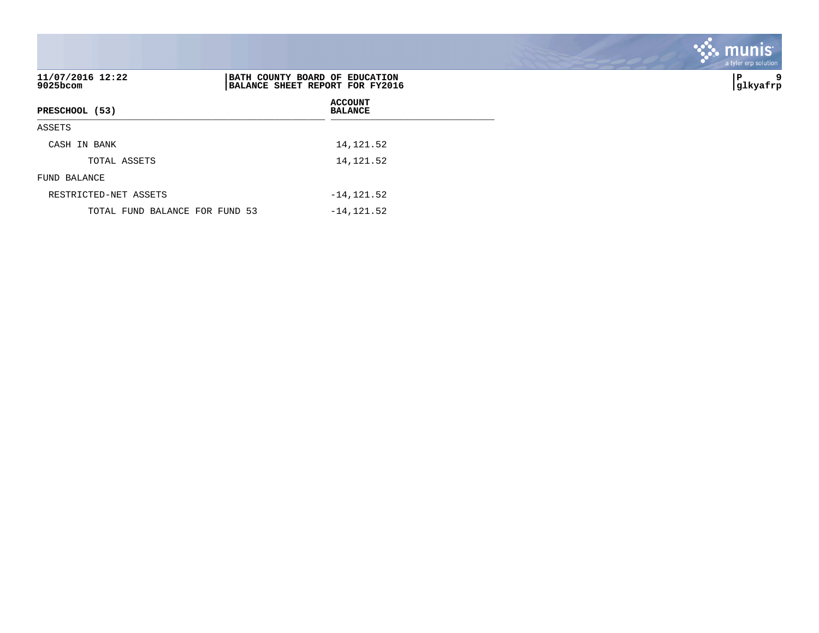|                                |                                                                   | munis<br>a tyler erp solution |
|--------------------------------|-------------------------------------------------------------------|-------------------------------|
| 11/07/2016 12:22<br>9025bcom   | BATH COUNTY BOARD OF EDUCATION<br>BALANCE SHEET REPORT FOR FY2016 | İΡ<br>9<br>glkyafrp           |
| PRESCHOOL (53)                 | <b>ACCOUNT</b><br><b>BALANCE</b>                                  |                               |
| ASSETS                         |                                                                   |                               |
| CASH IN BANK                   | 14, 121.52                                                        |                               |
| TOTAL ASSETS                   | 14, 121.52                                                        |                               |
| FUND BALANCE                   |                                                                   |                               |
| RESTRICTED-NET ASSETS          | $-14, 121.52$                                                     |                               |
| TOTAL FUND BALANCE FOR FUND 53 | $-14, 121.52$                                                     |                               |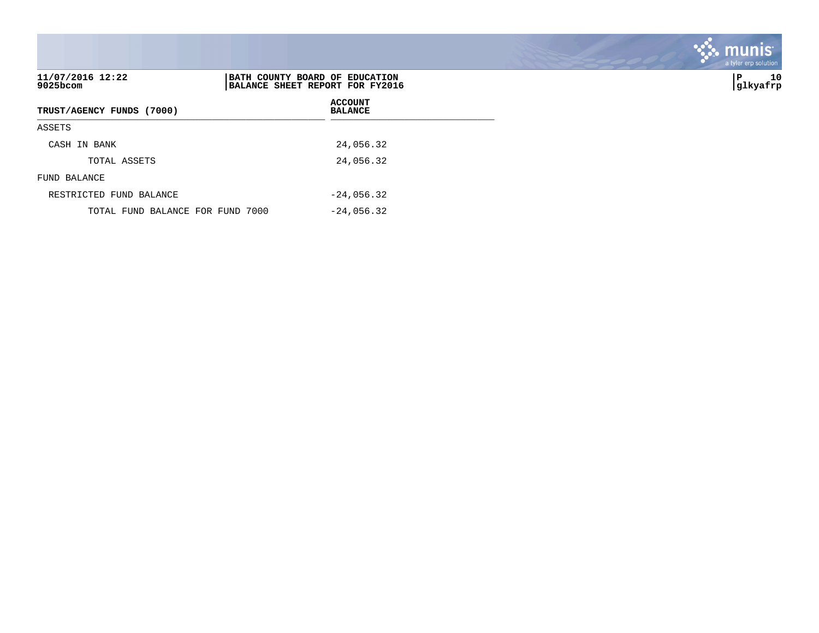| 11/07/2016 12:22<br>9025bcom     | BATH COUNTY BOARD OF EDUCATION<br>BALANCE SHEET REPORT FOR FY2016 | 10<br>P<br> glkyafrp |
|----------------------------------|-------------------------------------------------------------------|----------------------|
| TRUST/AGENCY FUNDS (7000)        | <b>ACCOUNT</b><br><b>BALANCE</b>                                  |                      |
| ASSETS                           |                                                                   |                      |
| CASH IN BANK                     | 24,056.32                                                         |                      |
| TOTAL ASSETS                     | 24,056.32                                                         |                      |
| FUND BALANCE                     |                                                                   |                      |
| RESTRICTED FUND BALANCE          | $-24,056.32$                                                      |                      |
| TOTAL FUND BALANCE FOR FUND 7000 | $-24,056.32$                                                      |                      |

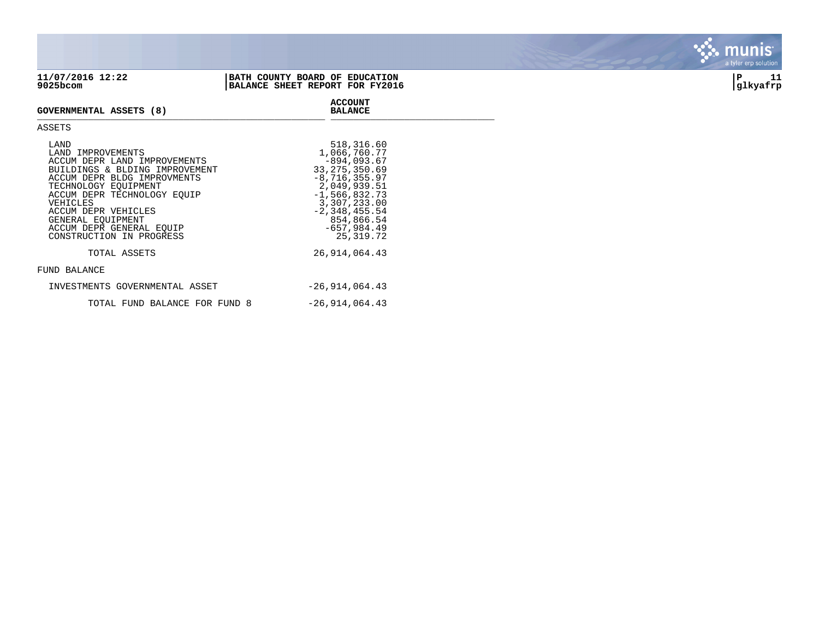| 11/07/2016 12:22<br>BATH COUNTY BOARD OF EDUCATION<br>9025bcom | BALANCE SHEET REPORT FOR FY2016 | glkyafrp | . . |
|----------------------------------------------------------------|---------------------------------|----------|-----|
|----------------------------------------------------------------|---------------------------------|----------|-----|

**ACCOUNT**

## **GOVERNMENTAL ASSETS (8) BALANCE** \_\_\_\_\_\_\_\_\_\_\_\_\_\_\_\_\_\_\_\_\_\_\_\_\_\_\_\_\_\_\_\_\_\_\_\_\_\_\_\_\_\_\_\_\_\_\_\_\_\_\_ \_\_\_\_\_\_\_\_\_\_\_\_\_\_\_\_\_\_\_\_\_\_\_\_\_\_\_\_\_

## ASSETS

| LAND<br>LAND IMPROVEMENTS<br>ACCUM DEPR LAND IMPROVEMENTS<br>BUILDINGS & BLDING IMPROVEMENT<br>ACCUM DEPR BLDG IMPROVMENTS<br>TECHNOLOGY EOUIPMENT<br>ACCUM DEPR TECHNOLOGY EOUIP<br>VEHICLES<br>ACCUM DEPR VEHICLES<br>GENERAL EOUIPMENT<br>ACCUM DEPR GENERAL EOUIP<br>CONSTRUCTION IN PROGRESS | 518,316.60<br>1,066,760.77<br>$-894.093.67$<br>33, 275, 350.69<br>$-8, 716, 355.97$<br>2,049,939.51<br>$-1,566,832.73$<br>3,307,233.00<br>$-2, 348, 455.54$<br>854,866.54<br>$-657,984.49$<br>25, 319. 72 |
|---------------------------------------------------------------------------------------------------------------------------------------------------------------------------------------------------------------------------------------------------------------------------------------------------|-----------------------------------------------------------------------------------------------------------------------------------------------------------------------------------------------------------|
| TOTAL ASSETS                                                                                                                                                                                                                                                                                      | 26,914,064.43                                                                                                                                                                                             |
| FUND BALANCE                                                                                                                                                                                                                                                                                      |                                                                                                                                                                                                           |
| INVESTMENTS GOVERNMENTAL ASSET                                                                                                                                                                                                                                                                    | $-26, 914, 064.43$                                                                                                                                                                                        |
| TOTAL FUND BALANCE FOR FUND 8                                                                                                                                                                                                                                                                     | $-26, 914, 064.43$                                                                                                                                                                                        |



*<u>PANS</u>*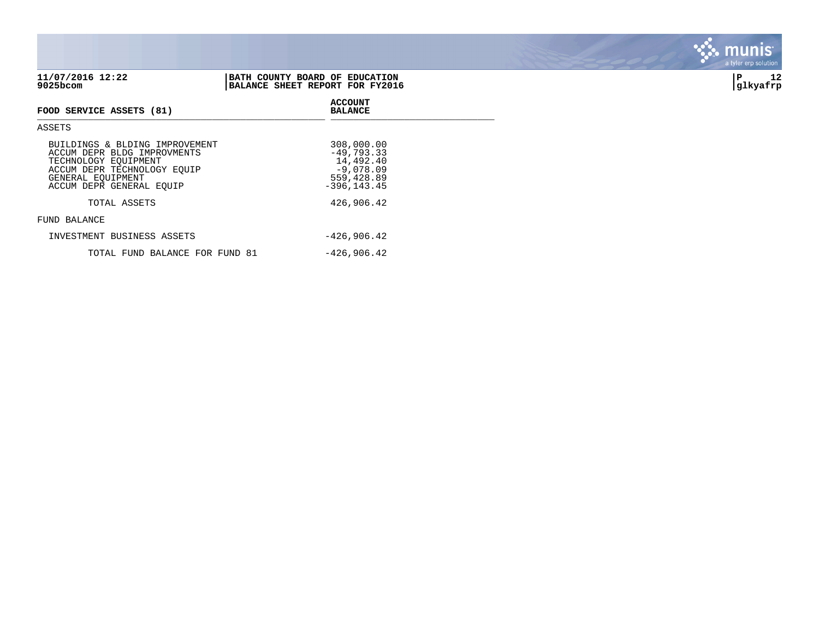| 11/07/2016 12:22<br>9025bcom                                                                                                                                          | BATH COUNTY BOARD OF EDUCATION<br>BALANCE SHEET REPORT FOR FY2016                      | 12<br>ΙP<br>glkyafrp |
|-----------------------------------------------------------------------------------------------------------------------------------------------------------------------|----------------------------------------------------------------------------------------|----------------------|
| FOOD SERVICE ASSETS (81)                                                                                                                                              | <b>ACCOUNT</b><br><b>BALANCE</b>                                                       |                      |
| ASSETS                                                                                                                                                                |                                                                                        |                      |
| BUILDINGS & BLDING IMPROVEMENT<br>ACCUM DEPR BLDG IMPROVMENTS<br>TECHNOLOGY EQUIPMENT<br>ACCUM DEPR TECHNOLOGY EQUIP<br>GENERAL EQUIPMENT<br>ACCUM DEPR GENERAL EQUIP | 308,000.00<br>$-49,793.33$<br>14,492.40<br>$-9,078.09$<br>559,428.89<br>$-396, 143.45$ |                      |
| TOTAL ASSETS                                                                                                                                                          | 426,906.42                                                                             |                      |
| FUND BALANCE                                                                                                                                                          |                                                                                        |                      |
| INVESTMENT BUSINESS ASSETS                                                                                                                                            | $-426,906.42$                                                                          |                      |
| TOTAL FUND BALANCE FOR FUND 81                                                                                                                                        | $-426,906.42$                                                                          |                      |

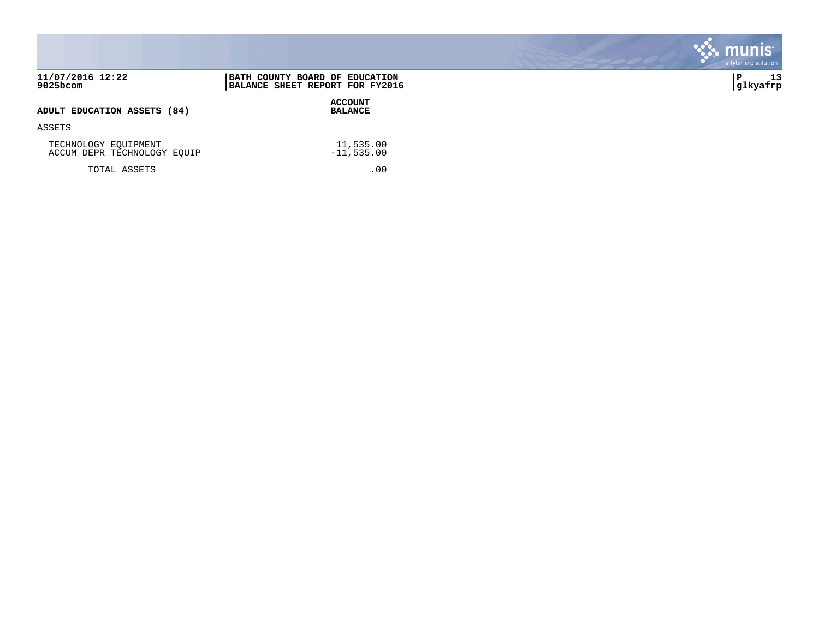|                                                     |                                                                   | munis <sup>®</sup><br>a tyler erp solution |
|-----------------------------------------------------|-------------------------------------------------------------------|--------------------------------------------|
| 11/07/2016 12:22<br>9025bcom                        | BATH COUNTY BOARD OF EDUCATION<br>BALANCE SHEET REPORT FOR FY2016 | 13<br>P<br> glkyafrp                       |
| ADULT EDUCATION ASSETS (84)                         | <b>ACCOUNT</b><br><b>BALANCE</b>                                  |                                            |
| ASSETS                                              |                                                                   |                                            |
| TECHNOLOGY EQUIPMENT<br>ACCUM DEPR TECHNOLOGY EQUIP | 11,535.00<br>$-11,535.00$                                         |                                            |
| TOTAL ASSETS                                        | .00                                                               |                                            |